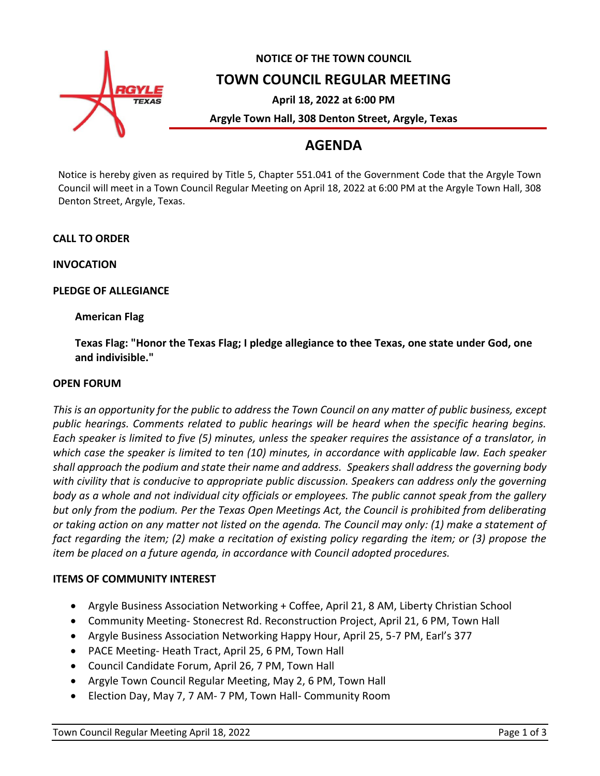

# **NOTICE OF THE TOWN COUNCIL**

**TOWN COUNCIL REGULAR MEETING**

**April 18, 2022 at 6:00 PM**

**Argyle Town Hall, 308 Denton Street, Argyle, Texas**

## **AGENDA**

Notice is hereby given as required by Title 5, Chapter 551.041 of the Government Code that the Argyle Town Council will meet in a Town Council Regular Meeting on April 18, 2022 at 6:00 PM at the Argyle Town Hall, 308 Denton Street, Argyle, Texas.

## **CALL TO ORDER**

**INVOCATION**

## **PLEDGE OF ALLEGIANCE**

## **American Flag**

**Texas Flag: "Honor the Texas Flag; I pledge allegiance to thee Texas, one state under God, one and indivisible."**

#### **OPEN FORUM**

*This is an opportunity for the public to address the Town Council on any matter of public business, except public hearings. Comments related to public hearings will be heard when the specific hearing begins. Each speaker is limited to five (5) minutes, unless the speaker requires the assistance of a translator, in which case the speaker is limited to ten (10) minutes, in accordance with applicable law. Each speaker shall approach the podium and state their name and address. Speakers shall address the governing body with civility that is conducive to appropriate public discussion. Speakers can address only the governing body as a whole and not individual city officials or employees. The public cannot speak from the gallery but only from the podium. Per the Texas Open Meetings Act, the Council is prohibited from deliberating or taking action on any matter not listed on the agenda. The Council may only: (1) make a statement of fact regarding the item; (2) make a recitation of existing policy regarding the item; or (3) propose the item be placed on a future agenda, in accordance with Council adopted procedures.*

#### **ITEMS OF COMMUNITY INTEREST**

- Argyle Business Association Networking + Coffee, April 21, 8 AM, Liberty Christian School
- Community Meeting- Stonecrest Rd. Reconstruction Project, April 21, 6 PM, Town Hall
- Argyle Business Association Networking Happy Hour, April 25, 5-7 PM, Earl's 377
- PACE Meeting- Heath Tract, April 25, 6 PM, Town Hall
- Council Candidate Forum, April 26, 7 PM, Town Hall
- Argyle Town Council Regular Meeting, May 2, 6 PM, Town Hall
- Election Day, May 7, 7 AM- 7 PM, Town Hall- Community Room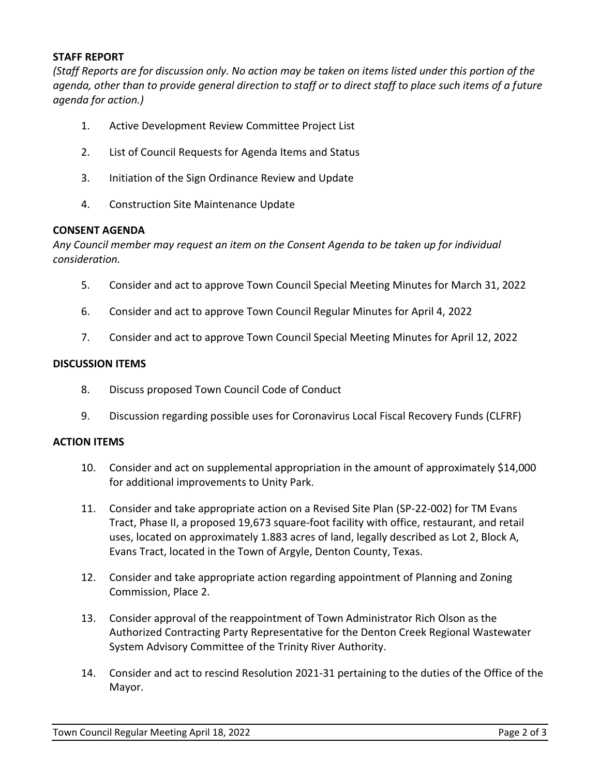#### **STAFF REPORT**

*(Staff Reports are for discussion only. No action may be taken on items listed under this portion of the agenda, other than to provide general direction to staff or to direct staff to place such items of a future agenda for action.)*

- 1. Active Development Review Committee Project List
- 2. List of Council Requests for Agenda Items and Status
- 3. Initiation of the Sign Ordinance Review and Update
- 4. Construction Site Maintenance Update

#### **CONSENT AGENDA**

*Any Council member may request an item on the Consent Agenda to be taken up for individual consideration.*

- 5. Consider and act to approve Town Council Special Meeting Minutes for March 31, 2022
- 6. Consider and act to approve Town Council Regular Minutes for April 4, 2022
- 7. Consider and act to approve Town Council Special Meeting Minutes for April 12, 2022

#### **DISCUSSION ITEMS**

- 8. Discuss proposed Town Council Code of Conduct
- 9. Discussion regarding possible uses for Coronavirus Local Fiscal Recovery Funds (CLFRF)

#### **ACTION ITEMS**

- 10. Consider and act on supplemental appropriation in the amount of approximately \$14,000 for additional improvements to Unity Park.
- 11. Consider and take appropriate action on a Revised Site Plan (SP-22-002) for TM Evans Tract, Phase II, a proposed 19,673 square-foot facility with office, restaurant, and retail uses, located on approximately 1.883 acres of land, legally described as Lot 2, Block A, Evans Tract, located in the Town of Argyle, Denton County, Texas.
- 12. Consider and take appropriate action regarding appointment of Planning and Zoning Commission, Place 2.
- 13. Consider approval of the reappointment of Town Administrator Rich Olson as the Authorized Contracting Party Representative for the Denton Creek Regional Wastewater System Advisory Committee of the Trinity River Authority.
- 14. Consider and act to rescind Resolution 2021-31 pertaining to the duties of the Office of the Mayor.